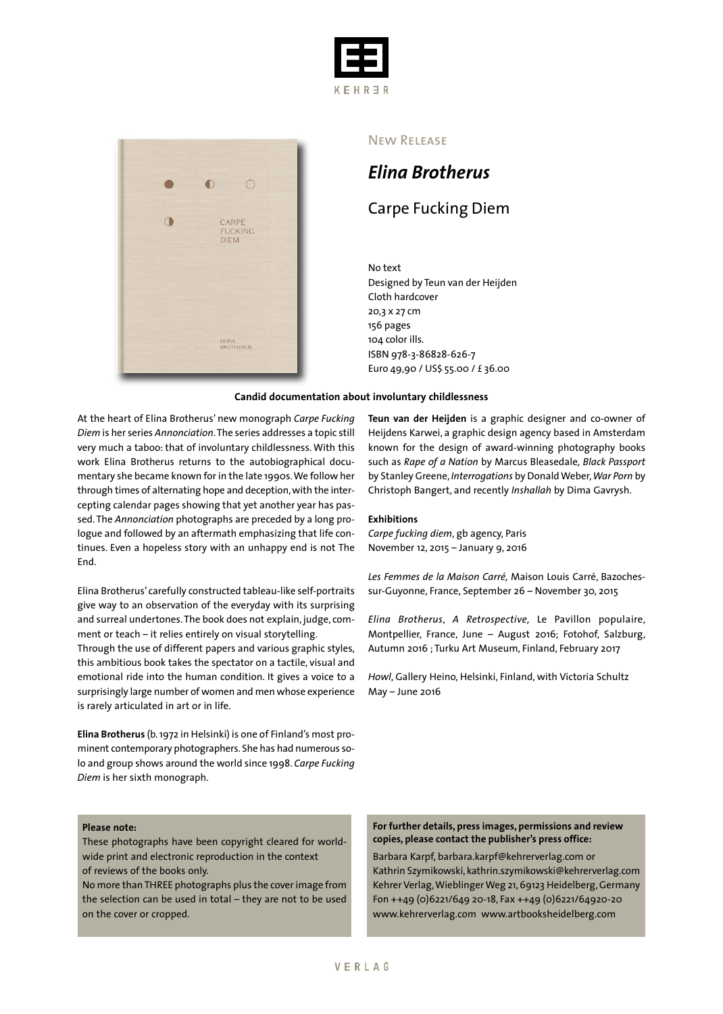



#### New Release

# *Elina Brotherus*

## Carpe Fucking Diem

No text Designed by Teun van der Heijden Cloth hardcover 20,3 x 27 cm 156 pages 104 color ills. ISBN 978-3-86828-626-7 Euro 49,90 / US\$ 55.00 / £ 36.00

#### **Candid documentation about involuntary childlessness**

At the heart of Elina Brotherus' new monograph *Carpe Fucking Diem* is her series *Annonciation*.The series addresses a topic still very much a taboo: that of involuntary childlessness. With this work Elina Brotherus returns to the autobiographical documentary she became known for in the late 1990s.We follow her through times of alternating hope and deception, with the intercepting calendar pages showing that yet another year has passed. The *Annonciation* photographs are preceded by a long prologue and followed by an aftermath emphasizing that life continues. Even a hopeless story with an unhappy end is not The End.

Elina Brotherus' carefully constructed tableau-like self-portraits give way to an observation of the everyday with its surprising and surreal undertones.The book does not explain, judge, comment or teach – it relies entirely on visual storytelling.

Through the use of different papers and various graphic styles, this ambitious book takes the spectator on a tactile, visual and emotional ride into the human condition. It gives a voice to a surprisingly large number of women and men whose experience is rarely articulated in art or in life.

**Elina Brotherus** (b.1972 in Helsinki) is one of Finland's most prominent contemporary photographers. She has had numerous solo and group shows around the world since 1998. *Carpe Fucking Diem* is her sixth monograph.

#### **Please note:**

These photographs have been copyright cleared for worldwide print and electronic reproduction in the context of reviews of the books only.

No more thanTHREE photographs plus the cover image from the selection can be used in total – they are not to be used on the cover or cropped.

**Teun van der Heijden** is a graphic designer and co-owner of Heijdens Karwei, a graphic design agency based in Amsterdam known for the design of award-winning photography books such as *Rape of a Nation* by Marcus Bleasedale, *Black Passport* by Stanley Greene, *Interrogations* by DonaldWeber,*War Porn* by Christoph Bangert, and recently *Inshallah* by Dima Gavrysh.

#### **Exhibitions**

*Carpe fucking diem*, gb agency, Paris November 12, 2015 – January 9, 2016

*Les Femmes de la Maison Carré,* Maison Louis Carré, Bazochessur-Guyonne, France, September 26 – November 30, 2015

*Elina Brotherus*, *A Retrospective,* Le Pavillon populaire, Montpellier, France, June – August 2016; Fotohof, Salzburg, Autumn 2016 ; Turku Art Museum, Finland, February 2017

*Howl*, Gallery Heino, Helsinki, Finland, with Victoria Schultz May – June 2016

**For further details, press images, permissions and review copies, please contact the publisher's press office:**

Barbara Karpf, barbara.karpf@kehrerverlag.com or Kathrin Szymikowski, kathrin.szymikowski@kehrerverlag.com Kehrer Verlag,WieblingerWeg 21,69123 Heidelberg,Germany Fon ++49 (0)6221/649 20-18, Fax ++49 (0)6221/64920-20 www.kehrerverlag.com www.artbooksheidelberg.com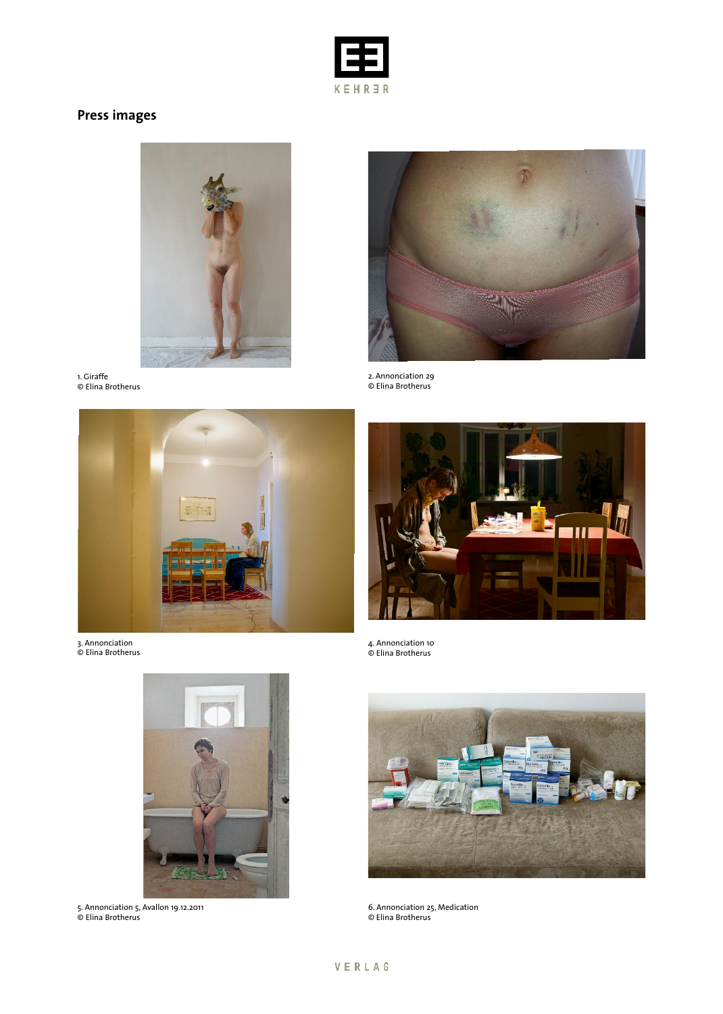

# **Press images**



1. Giraffe © Elina Brotherus



3. Annonciation © Elina Brotherus



2. Annonciation 29 © Elina Brotherus



4. Annonciation 10 © Elina Brotherus



5. Annonciation 5, Avallon 19.12.2011 © Elina Brotherus



6. Annonciation 25, Medication © Elina Brotherus

## VERLAG